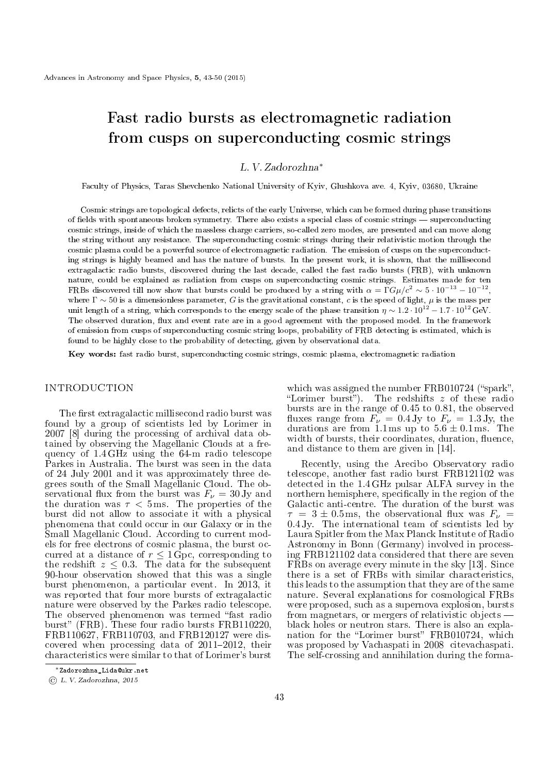# Fast radio bursts as electromagnetic radiation from cusps on superconducting cosmic strings

## L. V. Zadorozhna*<sup>∗</sup>*

Faculty of Physics, Taras Shevchenko National University of Kyiv, Glushkova ave. 4, Kyiv, 03680, Ukraine

Cosmic strings are topological defects, relicts of the early Universe, which can be formed during phase transitions of fields with spontaneous broken symmetry. There also exists a special class of cosmic strings  $-$  superconducting cosmic strings, inside of which the massless charge carriers, so-called zero modes, are presented and can move along the string without any resistance. The superconducting cosmic strings during their relativistic motion through the cosmic plasma could be a powerful source of electromagnetic radiation. The emission of cusps on the superconducting strings is highly beamed and has the nature of bursts. In the present work, it is shown, that the millisecond extragalactic radio bursts, discovered during the last decade, called the fast radio bursts (FRB), with unknown nature, could be explained as radiation from cusps on superconducting cosmic strings. Estimates made for ten FRBs discovered till now show that bursts could be produced by a string with  $\alpha = \Gamma G \mu/c^2 \sim 5 \cdot 10^{-13} - 10^{-12}$ , where Γ *∼* 50 is a dimensionless parameter, *G* is the gravitational constant, *c* is the speed of light, *µ* is the mass per unit length of a string, which corresponds to the energy scale of the phase transition  $\eta \sim 1.2 \cdot 10^{12} - 1.7 \cdot 10^{12}$  GeV. The observed duration, flux and event rate are in a good agreement with the proposed model. In the framework of emission from cusps of superconducting cosmic string loops, probability of FRB detecting is estimated, which is found to be highly close to the probability of detecting, given by observational data.

Key words: fast radio burst, superconducting cosmic strings, cosmic plasma, electromagnetic radiation

### **INTRODUCTION**

The first extragalactic millisecond radio burst was found by a group of scientists led by Lorimer in 2007 [8] during the processing of archival data obtained by observing the Magellanic Clouds at a frequency of 1*.*4 GHz using the 64-m radio telescope Parkes in Australia. The burst was seen in the data of 24 July 2001 and it was approximately three degrees south of the Small Magellanic Cloud. The observational flux from the burst was  $F_\nu = 30 \text{ Jy}$  and the duration was  $\tau < 5$  ms. The properties of the burst did not allow to associate it with a physical phenomena that could occur in our Galaxy or in the Small Magellanic Cloud. According to current models for free electrons of cosmic plasma, the burst occurred at a distance of  $r \leq 1 \overline{Gpc}$ , corresponding to the redshift  $z \leq 0.3$ . The data for the subsequent 90-hour observation showed that this was a single burst phenomenon, a particular event. In 2013, it was reported that four more bursts of extragalactic nature were observed by the Parkes radio telescope. The observed phenomenon was termed "fast radio burst" (FRB). These four radio bursts FRB110220, FRB110627, FRB110703, and FRB120127 were discovered when processing data of  $2011-2012$ , their characteristics were similar to that of Lorimer's burst

which was assigned the number  $FRB010724$  ("spark" Lorimer burst). The redshifts *z* of these radio bursts are in the range of 0*.*45 to 0*.*81, the observed fluxes range from  $F_\nu = 0.4$  Jy to  $F_\nu = 1.3$  Jy, the durations are from 1.1 ms up to  $5.6 \pm 0.1$  ms. The width of bursts, their coordinates, duration, fluence, and distance to them are given in [14].

Recently, using the Arecibo Observatory radio telescope, another fast radio burst FRB121102 was detected in the 1*.*4 GHz pulsar ALFA survey in the northern hemisphere, specifically in the region of the Galactic anti-centre. The duration of the burst was  $\tau = 3 \pm 0.5 \text{ ms}$ , the observational flux was  $F_{\nu} = 0.4 \text{ Jy}$ . The international team of scientists led by Laura Spitler from the Max Planck Institute of Radio Astronomy in Bonn (Germany) involved in processing FRB121102 data considered that there are seven FRBs on average every minute in the sky [13]. Since there is a set of FRBs with similar characteristics, this leads to the assumption that they are of the same nature. Several explanations for cosmological FRBs were proposed, such as a supernova explosion, bursts from magnetars, or mergers of relativistic objects black holes or neutron stars. There is also an explanation for the "Lorimer burst" FRB010724, which was proposed by Vachaspati in 2008 citevachaspati. The self-crossing and annihilation during the forma-

*<sup>∗</sup>*Zadorozhna\_Lida@ukr.net

<sup>©</sup> L. V. Zadorozhna, 2015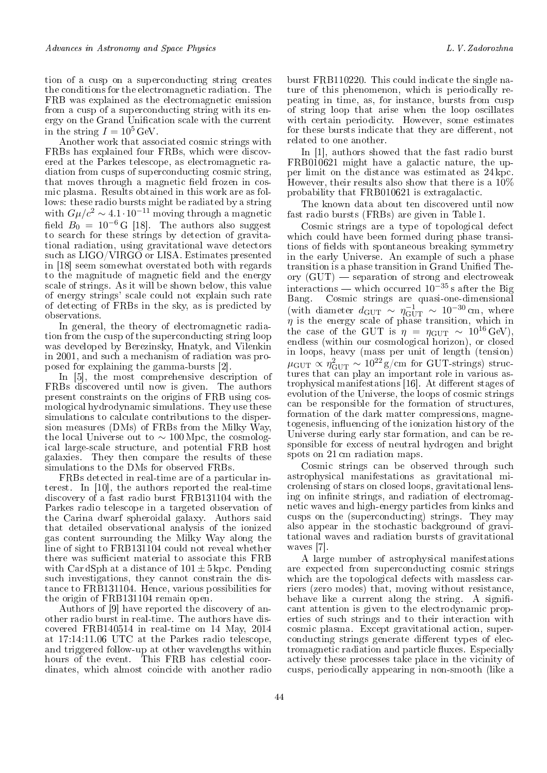tion of a cusp on a superconducting string creates the conditions for the electromagnetic radiation. The FRB was explained as the electromagnetic emission from a cusp of a superconducting string with its energy on the Grand Unification scale with the current in the string  $I = 10^5$  GeV.

Another work that associated cosmic strings with FRBs has explained four FRBs, which were discovered at the Parkes telescope, as electromagnetic radiation from cusps of superconducting cosmic string, that moves through a magnetic field frozen in cosmic plasma. Results obtained in this work are as follows: these radio bursts might be radiated by a string with  $G\mu/c^2 \sim 4.1 \cdot 10^{-11}$  moving through a magnetic field  $B_0 = 10^{-6}$  G [18]. The authors also suggest to search for these strings by detection of gravitational radiation, using gravitational wave detectors such as LIGO/VIRGO or LISA. Estimates presented in [18] seem somewhat overstated both with regards to the magnitude of magnetic field and the energy scale of strings. As it will be shown below, this value of energy strings' scale could not explain such rate of detecting of FRBs in the sky, as is predicted by observations.

In general, the theory of electromagnetic radiation from the cusp of the superconducting string loop was developed by Berezinsky, Hnatyk, and Vilenkin in 2001, and such a mechanism of radiation was proposed for explaining the gamma-bursts [2].

In [5], the most comprehensive description of FRBs discovered until now is given. The authors present constraints on the origins of FRB using cosmological hydrodynamic simulations. They use these simulations to calculate contributions to the dispersion measures (DMs) of FRBs from the Milky Way, the local Universe out to *∼* 100 Mpc, the cosmological large-scale structure, and potential FRB host galaxies. They then compare the results of these simulations to the DMs for observed FRBs.

FRBs detected in real-time are of a particular interest. In [10], the authors reported the real-time discovery of a fast radio burst FRB131104 with the Parkes radio telescope in a targeted observation of the Carina dwarf spheroidal galaxy. Authors said that detailed observational analysis of the ionized gas content surrounding the Milky Way along the line of sight to FRB131104 could not reveal whether there was sufficient material to associate this FRB with Car dSph at a distance of  $101 \pm 5$  kpc. Pending such investigations, they cannot constrain the distance to FRB131104. Hence, various possibilities for the origin of FRB131104 remain open.

Authors of [9] have reported the discovery of another radio burst in real-time. The authors have discovered FRB140514 in real-time on 14 May, 2014 at 17:14:11.06 UTC at the Parkes radio telescope, and triggered follow-up at other wavelengths within hours of the event. This FRB has celestial coordinates, which almost coincide with another radio

burst FRB110220. This could indicate the single nature of this phenomenon, which is periodically repeating in time, as, for instance, bursts from cusp of string loop that arise when the loop oscillates with certain periodicity. However, some estimates for these bursts indicate that they are different, not related to one another.

In [1], authors showed that the fast radio burst FRB010621 might have a galactic nature, the upper limit on the distance was estimated as 24 kpc. However, their results also show that there is a 10% probability that FRB010621 is extragalactic.

The known data about ten discovered until now fast radio bursts (FRBs) are given in Table 1.

Cosmic strings are a type of topological defect which could have been formed during phase transitions of fields with spontaneous breaking symmetry in the early Universe. An example of such a phase transition is a phase transition in Grand Unified Theory  $(GUT)$  - separation of strong and electroweak interactions which occurred 10*−*<sup>35</sup> s after the Big Bang. Cosmic strings are quasi-one-dimensional (with diameter  $d_{\text{GUT}} \sim \eta_{\text{GUT}}^{-1} \sim 10^{-30} \text{ cm}$ , where  $\eta$  is the energy scale of phase transition, which in the case of the GUT is  $\eta = \eta_{GUT} \sim 10^{16} \text{ GeV}$ . endless (within our cosmological horizon), or closed in loops, heavy (mass per unit of length (tension)  $\mu_{\text{GUT}} \propto \eta_{\text{GUT}}^2 \sim 10^{22} \,\text{g/cm}$  for GUT-strings) structures that can play an important role in various astrophysical manifestations [16]. At different stages of evolution of the Universe, the loops of cosmic strings can be responsible for the formation of structures, formation of the dark matter compressions, magnetogenesis, influencing of the ionization history of the Universe during early star formation, and can be responsible for excess of neutral hydrogen and bright spots on 21 cm radiation maps.

Cosmic strings can be observed through such astrophysical manifestations as gravitational microlensing of stars on closed loops, gravitational lensing on infinite strings, and radiation of electromagnetic waves and high-energy particles from kinks and cusps on the (superconducting) strings. They may also appear in the stochastic background of gravitational waves and radiation bursts of gravitational waves [7].

A large number of astrophysical manifestations are expected from superconducting cosmic strings which are the topological defects with massless carriers (zero modes) that, moving without resistance, behave like a current along the string. A significant attention is given to the electrodynamic properties of such strings and to their interaction with cosmic plasma. Except gravitational action, superconducting strings generate different types of electromagnetic radiation and particle fluxes. Especially actively these processes take place in the vicinity of cusps, periodically appearing in non-smooth (like a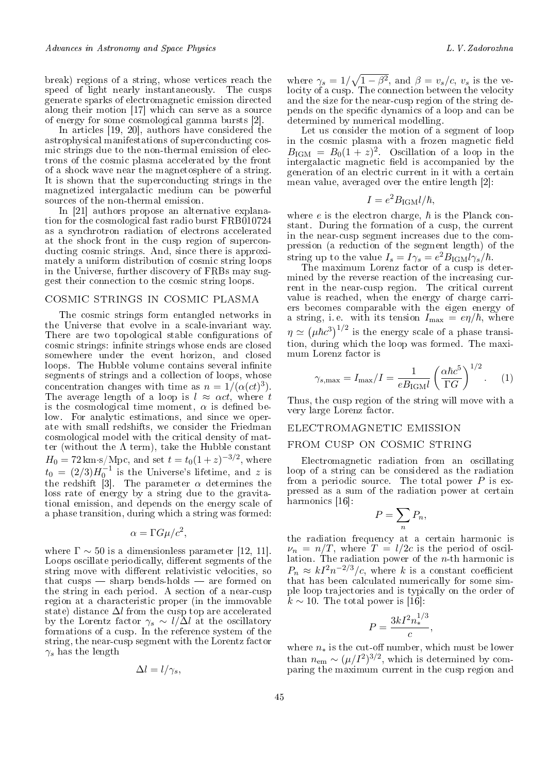break) regions of a string, whose vertices reach the speed of light nearly instantaneously. The cusps generate sparks of electromagnetic emission directed along their motion [17] which can serve as a source of energy for some cosmological gamma bursts [2].

In articles [19, 20], authors have considered the astrophysical manifestations of superconducting cosmic strings due to the non-thermal emission of electrons of the cosmic plasma accelerated by the front of a shock wave near the magnetosphere of a string. It is shown that the superconducting strings in the magnetized intergalactic medium can be powerful sources of the non-thermal emission.

In [21] authors propose an alternative explanation for the cosmological fast radio burst FRB010724 as a synchrotron radiation of electrons accelerated at the shock front in the cusp region of superconducting cosmic strings. And, since there is approximately a uniform distribution of cosmic string loops in the Universe, further discovery of FRBs may suggest their connection to the cosmic string loops.

### cosmic strings in cosmic plasma

The cosmic strings form entangled networks in the Universe that evolve in a scale-invariant way. There are two topological stable configurations of cosmic strings: infinite strings whose ends are closed somewhere under the event horizon, and closed loops. The Hubble volume contains several infinite segments of strings and a collection of loops, whose concentration changes with time as  $n = 1/(\alpha(ct)^3)$ . The average length of a loop is  $l \approx \alpha ct$ , where *t* is the cosmological time moment,  $\alpha$  is defined below. For analytic estimations, and since we operate with small redshifts, we consider the Friedman cosmological model with the critical density of matter (without the  $\Lambda$  term), take the Hubble constant  $H_0 = 72 \,\text{km·s/Mpc}$ , and set  $t = t_0(1+z)^{-3/2}$ , where  $t_0 = (2/3)H_0^{-1}$  is the Universe's lifetime, and *z* is the redshift [3]. The parameter  $\alpha$  determines the loss rate of energy by a string due to the gravitational emission, and depends on the energy scale of a phase transition, during which a string was formed:

$$
\alpha = \Gamma G \mu / c^2,
$$

where  $\Gamma \sim 50$  is a dimensionless parameter [12, 11]. Loops oscillate periodically, different segments of the string move with different relativistic velocities, so that cusps  $-$  sharp bends-holds  $-$  are formed on the string in each period. A section of a near-cusp region at a characteristic proper (in the immovable state) distance ∆*l* from the cusp top are accelerated by the Lorentz factor  $\gamma_s \sim l/\Delta l$  at the oscillatory formations of a cusp. In the reference system of the string, the near-cusp segment with the Lorentz factor  $γ<sub>s</sub>$  has the length

$$
\Delta l = l/\gamma_s,
$$

where  $\gamma_s = 1/\sqrt{1-\beta^2}$ , and  $\beta = v_s/c$ ,  $v_s$  is the velocity of a cusp. The connection between the velocity and the size for the near-cusp region of the string depends on the specific dynamics of a loop and can be determined by numerical modelling.

Let us consider the motion of a segment of loop in the cosmic plasma with a frozen magnetic field  $B_{\rm IGM} = B_0(1+z)^2$ . Oscillation of a loop in the intergalactic magnetic field is accompanied by the generation of an electric current in it with a certain mean value, averaged over the entire length [2]:

$$
I = e^2 B_{\rm IGM} l/\hbar,
$$

where  $e$  is the electron charge,  $\hbar$  is the Planck constant. During the formation of a cusp, the current in the near-cusp segment increases due to the compression (a reduction of the segment length) of the string up to the value  $I_s = I\gamma_s = e^2 B_{\text{IGM}} l \gamma_s / \hbar$ .

The maximum Lorenz factor of a cusp is determined by the reverse reaction of the increasing current in the near-cusp region. The critical current value is reached, when the energy of charge carriers becomes comparable with the eigen energy of a string, i.e. with its tension  $I_{\text{max}} = e\eta/\hbar$ , where  $\eta \simeq (\mu \hbar c^3)^{1/2}$  is the energy scale of a phase transition, during which the loop was formed. The maximum Lorenz factor is

$$
\gamma_{s,\text{max}} = I_{\text{max}}/I = \frac{1}{eB_{\text{IGM}}l} \left(\frac{\alpha\hbar c^5}{\Gamma G}\right)^{1/2}.
$$
 (1)

Thus, the cusp region of the string will move with a very large Lorenz factor.

### electromagnetic emission

### from cusp on cosmic string

Electromagnetic radiation from an oscillating loop of a string can be considered as the radiation from a periodic source. The total power *P* is expressed as a sum of the radiation power at certain harmonics [16]:

$$
P = \sum_{n} P_n,
$$

the radiation frequency at a certain harmonic is  $\nu_n = n/T$ , where  $T = l/2c$  is the period of oscillation. The radiation power of the *n*-th harmonic is  $P_n \approx kI^2n^{-2/3}/c$ , where *k* is a constant coefficient that has been calculated numerically for some simple loop trajectories and is typically on the order of  $k \sim 10$ . The total power is [16]:

$$
P = \frac{3kI^2n_*^{1/3}}{c},
$$

where  $n<sub>*</sub>$  is the cut-off number, which must be lower than  $n_{\text{em}} \sim (\mu/I^2)^{3/2}$ , which is determined by comparing the maximum current in the cusp region and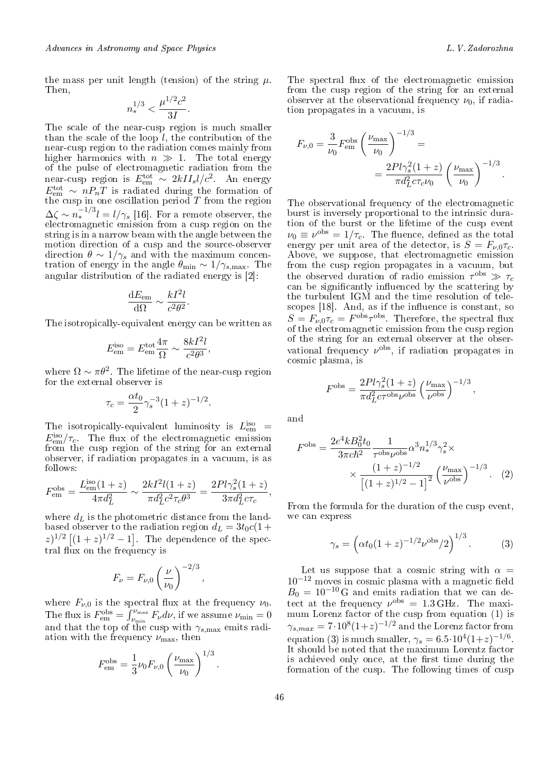the mass per unit length (tension) of the string  $\mu$ . Then,

$$
n_*^{1/3} < \frac{\mu^{1/2} c^2}{3I}.
$$

The scale of the near-cusp region is much smaller than the scale of the loop  $l$ , the contribution of the near-cusp region to the radiation comes mainly from higher harmonics with  $n \gg 1$ . The total energy of the pulse of electromagnetic radiation from the near-cusp region is  $E_{em}^{tot} \sim 2kII_s l/c^2$ . An energy  $E_{\text{em}}^{\text{tot}} \sim n P_n T$  is radiated during the formation of the cusp in one oscillation period *T* from the region  $\Delta \zeta \sim n_*^{-1/3} l = l/\gamma_s$  [16]. For a remote observer, the electromagnetic emission from a cusp region on the string is in a narrow beam with the angle between the motion direction of a cusp and the source-observer direction  $\theta \sim 1/\gamma_s$  and with the maximum concentration of energy in the angle  $\theta_{\min} \sim 1/\gamma_{s,\max}$ . The angular distribution of the radiated energy is [2]:

$$
\frac{\mathrm{d}E_{\rm em}}{\mathrm{d}\Omega} \sim \frac{kI^2l}{c^2\theta^2}.
$$

The isotropically-equivalent energy can be written as

$$
E_{\rm em}^{\rm iso} = E_{\rm em}^{\rm tot} \frac{4\pi}{\Omega} \sim \frac{8kI^2l}{c^2\theta^3},
$$

where  $\Omega \sim \pi \theta^2$ . The lifetime of the near-cusp region for the external observer is

$$
\tau_c = \frac{\alpha t_0}{2} \gamma_s^{-3} (1+z)^{-1/2}.
$$

The isotropically-equivalent luminosity is  $L_{em}^{iso}$  =  $E_{\text{em}}^{\text{iso}}/\tau_c$ . The flux of the electromagnetic emission from the cusp region of the string for an external observer, if radiation propagates in a vacuum, is as follows:

$$
F_{\text{em}}^{\text{obs}} = \frac{L_{\text{em}}^{\text{iso}}(1+z)}{4\pi d_L^2} \sim \frac{2kI^2l(1+z)}{\pi d_L^2 c^2 \tau_c \theta^3} = \frac{2Pl\gamma_s^2(1+z)}{3\pi d_L^2 c \tau_c},
$$

where  $d_L$  is the photometric distance from the landbased observer to the radiation region  $d_L = 3t_0c(1 +$  $(z)^{1/2}$  [ $(1+z)^{1/2} - 1$ ]. The dependence of the spectral flux on the frequency is

$$
F_{\nu} = F_{\nu,0} \left(\frac{\nu}{\nu_0}\right)^{-2/3}
$$

*,*

*.*

where  $F_{\nu,0}$  is the spectral flux at the frequency  $\nu_0$ . The flux is  $F_{\text{em}}^{\text{obs}} = \int_{\nu_{\text{min}}}^{\nu_{\text{max}}} F_{\nu} d\nu$ , if we assume  $\nu_{\text{min}} = 0$ and that the top of the cusp with *γs,*max emits radiation with the frequency  $\nu_{\text{max}}$ , then

$$
F_{\text{em}}^{\text{obs}} = \frac{1}{3} \nu_0 F_{\nu,0} \left( \frac{\nu_{\text{max}}}{\nu_0} \right)^{1/3}
$$

The spectral flux of the electromagnetic emission from the cusp region of the string for an external observer at the observational frequency  $\nu_0$ , if radiation propagates in a vacuum, is

$$
F_{\nu,0} = \frac{3}{\nu_0} F_{\text{em}}^{\text{obs}} \left( \frac{\nu_{\text{max}}}{\nu_0} \right)^{-1/3} =
$$
  
= 
$$
\frac{2Pl\gamma_s^2 (1+z)}{\pi d_L^2 c \tau_c \nu_0} \left( \frac{\nu_{\text{max}}}{\nu_0} \right)^{-1/3}.
$$

The observational frequency of the electromagnetic burst is inversely proportional to the intrinsic duration of the burst or the lifetime of the cusp event  $\nu_0 \equiv \nu^{\text{obs}} = 1/\tau_c$ . The fluence, defined as the total energy per unit area of the detector, is  $S = F_{\nu,0}\tau_c$ . Above, we suppose, that electromagnetic emission from the cusp region propagates in a vacuum, but the observed duration of radio emission  $\tau^{\text{obs}} \gg \tau_c$ can be significantly influenced by the scattering by the turbulent IGM and the time resolution of telescopes  $[18]$ . And, as if the influence is constant, so  $S = F_{\nu,0}\tau_c = F^{\text{obs}}\tau^{\text{obs}}$ . Therefore, the spectral flux of the electromagnetic emission from the cusp region of the string for an external observer at the observational frequency  $\nu^{\text{obs}}$ , if radiation propagates in cosmic plasma, is

$$
F^{\rm obs} = \frac{2Pl\gamma_s^2(1+z)}{\pi d_L^2 c \tau^{\rm obs} \nu^{\rm obs}} \left(\frac{\nu_{\rm max}}{\nu^{\rm obs}}\right)^{-1/3},
$$

and

$$
F^{\rm obs} = \frac{2e^4kB_0^2t_0}{3\pi c\hbar^2} \frac{1}{\tau^{\rm obs}\nu^{\rm obs}} \alpha^3 n_*^{1/3} \gamma_s^2 \times \frac{(1+z)^{-1/2}}{\left[(1+z)^{1/2} - 1\right]^2} \left(\frac{\nu_{\rm max}}{\nu^{\rm obs}}\right)^{-1/3}.
$$
 (2)

From the formula for the duration of the cusp event, we can express

$$
\gamma_s = \left( \alpha t_0 (1+z)^{-1/2} \nu^{\text{obs}} / 2 \right)^{1/3} . \tag{3}
$$

Let us suppose that a cosmic string with  $\alpha =$ 10<sup>−12</sup> moves in cosmic plasma with a magnetic field  $B_0 = 10^{-10}$  G and emits radiation that we can detect at the frequency  $\nu^{\text{obs}} = 1.3 \text{ GHz}$ . The maximum Lorenz factor of the cusp from equation (1) is  $\gamma_{s,max} = 7 \cdot 10^8 (1+z)^{-1/2}$  and the Lorenz factor from equation (3) is much smaller,  $\gamma_s = 6.5 \cdot 10^4 (1+z)^{-1/6}$ . It should be noted that the maximum Lorentz factor is achieved only once, at the first time during the formation of the cusp. The following times of cusp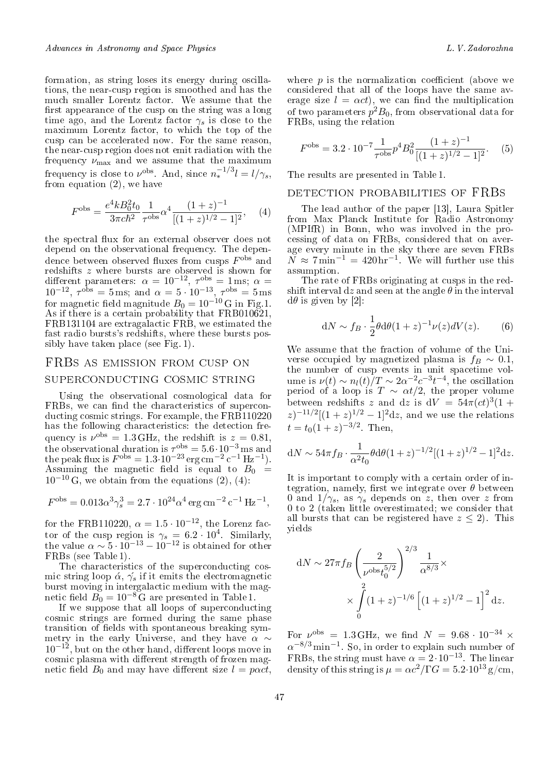formation, as string loses its energy during oscillations, the near-cusp region is smoothed and has the much smaller Lorentz factor. We assume that the first appearance of the cusp on the string was a long time ago, and the Lorentz factor  $\gamma_s$  is close to the maximum Lorentz factor, to which the top of the cusp can be accelerated now. For the same reason, the near-cusp region does not emit radiation with the frequency  $\nu_{\text{max}}$  and we assume that the maximum frequency is close to  $\nu^{\text{obs}}$ . And, since  $n_*^{-1/3}l = l/\gamma_s$ , from equation (2), we have

$$
F^{\rm obs} = \frac{e^4 k B_0^2 t_0}{3\pi c \hbar^2} \frac{1}{\tau^{\rm obs}} \alpha^4 \frac{(1+z)^{-1}}{[(1+z)^{1/2} - 1]^2}, \quad (4)
$$

the spectral flux for an external observer does not depend on the observational frequency. The dependence between observed fluxes from cusps  $F^{\rm obs}$  and redshifts *z* where bursts are observed is shown for different parameters:  $\alpha = 10^{-12}$ ,  $\tau^{\text{obs}} = 1 \,\text{ms}$ ;  $\alpha =$  $10^{-12}$ ,  $\tau^{obs} = 5$  ms; and  $\alpha = 5 \cdot 10^{-13}$ ,  $\tau^{obs} = 5$  ms for magnetic field magnitude  $B_0 = 10^{-10}$  G in Fig.1. As if there is a certain probability that FRB010621, FRB131104 are extragalactic FRB, we estimated the fast radio bursts's redshifts, where these bursts possibly have taken place (see Fig. 1).

## FRBs as emission from cusp on superconducting cosmic string

Using the observational cosmological data for FRBs, we can find the characteristics of superconducting cosmic strings. For example, the FRB110220 has the following characteristics: the detection frequency is  $\nu^{\text{obs}} = 1.3 \text{ GHz}$ , the redshift is  $z = 0.81$ , the observational duration is  $\tau^{\text{obs}} = 5.6 \cdot 10^{-3} \text{ ms}$  and<br>the peak flux is  $F^{\text{obs}} = 1.3 \cdot 10^{-23} \text{ erg cm}^{-2} \text{ c}^{-1} \text{ Hz}^{-1}$ . Assuming the magnetic field is equal to  $B_0 =$ 10*−*<sup>10</sup> G, we obtain from the equations (2), (4):

$$
F^{\rm obs} = 0.013 \alpha^3 \gamma_s^3 = 2.7 \cdot 10^{24} \alpha^4 \, \text{erg} \, \text{cm}^{-2} \, \text{c}^{-1} \, \text{Hz}^{-1},
$$

for the FRB110220,  $\alpha = 1.5 \cdot 10^{-12}$ , the Lorenz factor of the cusp region is  $\gamma_s = 6.2 \cdot 10^4$ . Similarly, the value  $\alpha \sim 5 \cdot 10^{-13} - 10^{-12}$  is obtained for other FRBs (see Table 1).

The characteristics of the superconducting cosmic string loop  $\alpha$ ,  $\gamma$ <sup>*'s*</sup> if it emits the electromagnetic burst moving in intergalactic medium with the magnetic field  $B_0 = 10^{-8}$  G are presented in Table 1.

If we suppose that all loops of superconducting cosmic strings are formed during the same phase transition of fields with spontaneous breaking symmetry in the early Universe, and they have *α ∼* 10<sup>−12</sup>, but on the other hand, different loops move in cosmic plasma with different strength of frozen magnetic field  $B_0$  and may have different size  $l = p\alpha ct$ , where  $p$  is the normalization coefficient (above we considered that all of the loops have the same average size  $l = \alpha ct$ , we can find the multiplication of two parameters  $p^2B_0$ , from observational data for FRBs, using the relation

$$
F^{\rm obs} = 3.2 \cdot 10^{-7} \frac{1}{\tau^{\rm obs}} p^4 B_0^2 \frac{(1+z)^{-1}}{[(1+z)^{1/2} - 1]^2}.
$$
 (5)

The results are presented in Table 1.

### detection probabilities of FRBs

The lead author of the paper [13], Laura Spitler from Max Planck Institute for Radio Astronomy (MPIfR) in Bonn, who was involved in the processing of data on FRBs, considered that on average every minute in the sky there are seven FRBs  $\overline{N} \approx 7 \text{ min}^{-1} = 420 \text{ hr}^{-1}$ . We will further use this assumption.

The rate of FRBs originating at cusps in the redshift interval d*z* and seen at the angle *θ* in the interval  $d\theta$  is given by [2]:

$$
dN \sim f_B \cdot \frac{1}{2} \theta d\theta (1+z)^{-1} \nu(z) dV(z). \tag{6}
$$

We assume that the fraction of volume of the Universe occupied by magnetized plasma is  $f_B \sim 0.1$ , the number of cusp events in unit spacetime volume is  $\nu(t) \sim n_l(t)/T \sim 2\alpha^{-2}c^{-3}t^{-4}$ , the oscillation period of a loop is  $T \sim \alpha t/2$ , the proper volume between redshifts *z* and d*z* is  $dV = 54\pi (ct)^3 (1 +$  $(z)^{-11/2}[(1+z)^{1/2}-1]^2dz$ , and we use the relations  $t = t_0(1+z)^{-3/2}$ . Then,

$$
dN \sim 54\pi f_B \cdot \frac{1}{\alpha^2 t_0} \theta d\theta (1+z)^{-1/2} [(1+z)^{1/2} - 1]^2 dz.
$$

It is important to comply with a certain order of integration, namely, first we integrate over  $\theta$  between 0 and  $1/\gamma_s$ , as  $\gamma_s$  depends on *z*, then over *z* from 0 to 2 (taken little overestimated; we consider that all bursts that can be registered have  $z \leq 2$ ). This yields

$$
dN \sim 27\pi f_B \left(\frac{2}{\nu^{\text{obs}} t_0^{5/2}}\right)^{2/3} \frac{1}{\alpha^{8/3}} \times \left(\frac{2}{\lambda}\right)^{2} (1+z)^{-1/6} \left[ (1+z)^{1/2} - 1 \right]^2 dz.
$$

For  $\nu^{\text{obs}} = 1.3 \text{ GHz}$ , we find  $N = 9.68 \cdot 10^{-34} \times$ *α <sup>−</sup>*8*/*<sup>3</sup> min*−*<sup>1</sup> . So, in order to explain such number of FRBs, the string must have  $\alpha = 2 \cdot 10^{-13}$ . The linear density of this string is  $\mu = \alpha c^2/\Gamma G = 5.2 \cdot 10^{13}$  g/cm.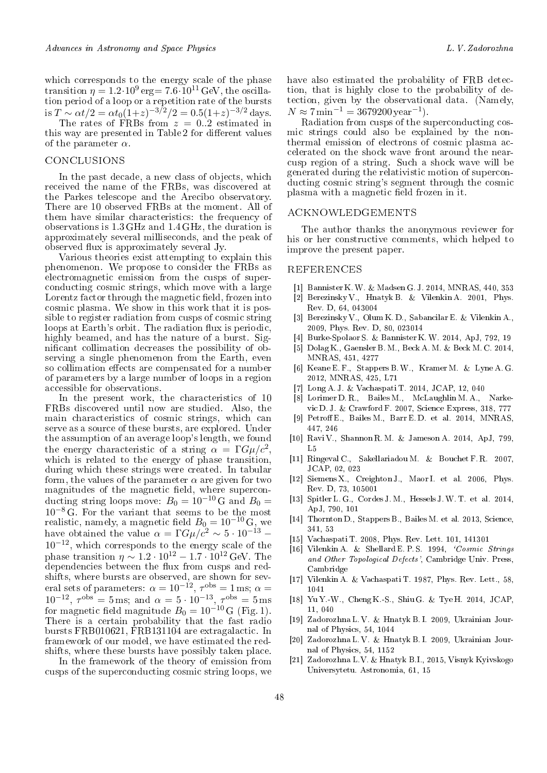which corresponds to the energy scale of the phase transition  $\eta = 1.2 \cdot 10^9$  erg= 7.6 $\cdot 10^{11}$  GeV, the oscillation period of a loop or a repetition rate of the bursts is  $T \sim \alpha t/2 = \alpha t_0 (1+z)^{-3/2}/2 = 0.5(1+z)^{-3/2}$  days.

The rates of FRBs from *z* = 0*..*2 estimated in this way are presented in Table 2 for different values of the parameter *α*.

### conclusions

In the past decade, a new class of objects, which received the name of the FRBs, was discovered at the Parkes telescope and the Arecibo observatory. There are 10 observed FRBs at the moment. All of them have similar characteristics: the frequency of observations is 1*.*3 GHz and 1*.*4 GHz, the duration is approximately several milliseconds, and the peak of observed flux is approximately several Jy.

Various theories exist attempting to explain this phenomenon. We propose to consider the FRBs as electromagnetic emission from the cusps of superconducting cosmic strings, which move with a large Lorentz factor through the magnetic field, frozen into cosmic plasma. We show in this work that it is possible to register radiation from cusps of cosmic string loops at Earth's orbit. The radiation flux is periodic, highly beamed, and has the nature of a burst. Significant collimation decreases the possibility of observing a single phenomenon from the Earth, even so collimation effects are compensated for a number of parameters by a large number of loops in a region accessible for observations.

In the present work, the characteristics of 10 FRBs discovered until now are studied. Also, the main characteristics of cosmic strings, which can serve as a source of these bursts, are explored. Under the assumption of an average loop's length, we found the energy characteristic of a string  $\alpha = \Gamma G \mu/c^2$ , which is related to the energy of phase transition, during which these strings were created. In tabular form, the values of the parameter  $\alpha$  are given for two magnitudes of the magnetic field, where superconducting string loops move:  $B_0 = 10^{-10}$  G and  $B_0 =$ 10*−*<sup>8</sup> G. For the variant that seems to be the most realistic, namely, a magnetic field  $B_0 = 10^{-10} \text{ G},$  we have obtained the value  $\alpha = \Gamma G \mu/c^2 \sim 5 \cdot 10^{-13}$  – 10*−*12, which corresponds to the energy scale of the phase transition  $\eta \sim 1.2 \cdot 10^{12} - 1.7 \cdot 10^{12} \,\text{GeV}$ . The dependencies between the flux from cusps and redshifts, where bursts are observed, are shown for several sets of parameters:  $\alpha = 10^{-12}$ ,  $\tau^{\text{obs}} = 1 \,\text{ms}$ ;  $\alpha =$  $10^{-12}$ ,  $\tau^{obs} = 5$  ms; and  $\alpha = 5 \cdot 10^{-13}$ ,  $\tau^{obs} = 5$  ms for magnetic field magnitude  $B_0 = 10^{-10}$  G (Fig. 1). There is a certain probability that the fast radio bursts FRB010621, FRB131104 are extragalactic. In framework of our model, we have estimated the redshifts, where these bursts have possibly taken place.

In the framework of the theory of emission from cusps of the superconducting cosmic string loops, we

Radiation from cusps of the superconducting cosmic strings could also be explained by the nonthermal emission of electrons of cosmic plasma accelerated on the shock wave front around the nearcusp region of a string. Such a shock wave will be generated during the relativistic motion of superconducting cosmic string's segment through the cosmic plasma with a magnetic field frozen in it.

### acknowledgements

The author thanks the anonymous reviewer for his or her constructive comments, which helped to improve the present paper.

#### **REFERENCES**

- [1] Bannister K.W. & Madsen G. J. 2014, MNRAS, 440, 353
- [2] Berezinsky V., Hnatyk B. & Vilenkin A. 2001, Phys. Rev. D, 64, 043004
- [3] Berezinsky V., Olum K. D., Sabancilar E. & Vilenkin A., 2009, Phys. Rev. D, 80, 023014
- [4] Burke-Spolaor S. & Bannister K.W. 2014, ApJ, 792, 19
- [5] Dolag K., Gaensler B. M., Beck A. M. & Beck M. C. 2014, MNRAS, 451, 4277
- [6] Keane E. F., Stappers B.W., Kramer M. & Lyne A. G. 2012, MNRAS, 425, L71
- [7] Long A. J. & Vachaspati T. 2014, JCAP, 12, 040
- [8] Lorimer D. R., Bailes M., McLaughlin M. A., Narkevic D. J. & Crawford F. 2007, Science Express, 318, 777
- [9] Petroff E., Bailes M., Barr E.D. et al. 2014, MNRAS, 447, 246
- [10] Ravi V., Shannon R. M. & Jameson A. 2014, ApJ, 799, L5
- [11] Ringeval C., Sakellariadou M. & Bouchet F. R. 2007, JCAP, 02, 023
- [12] Siemens X., Creighton J., Maor I. et al. 2006, Phys. Rev. D, 73, 105001
- [13] Spitler L. G., Cordes J. M., Hessels J.W. T. et al. 2014, ApJ, 790, 101
- [14] Thornton D., Stappers B., Bailes M. et al. 2013, Science, 341, 53
- [15] Vachaspati T. 2008, Phys. Rev. Lett. 101, 141301
- [16] Vilenkin A. & Shellard E. P. S. 1994, *Cosmic Strings* and Other Topological Defects', Cambridge Univ. Press, Cambridge
- [17] Vilenkin A. & Vachaspati T. 1987, Phys. Rev. Lett., 58, 1041
- [18] Yu Y.-W., Cheng K.-S., Shiu G. & Tye H. 2014, JCAP, 11, 040
- [19] Zadorozhna L. V. & Hnatyk B. I. 2009, Ukrainian Journal of Physics, 54, 1044
- [20] Zadorozhna L. V. & Hnatyk B. I. 2009, Ukrainian Journal of Physics, 54, 1152
- [21] Zadorozhna L.V. & Hnatyk B.I., 2015, Visnyk Kyivskogo Universytetu. Astronomia, 61, 15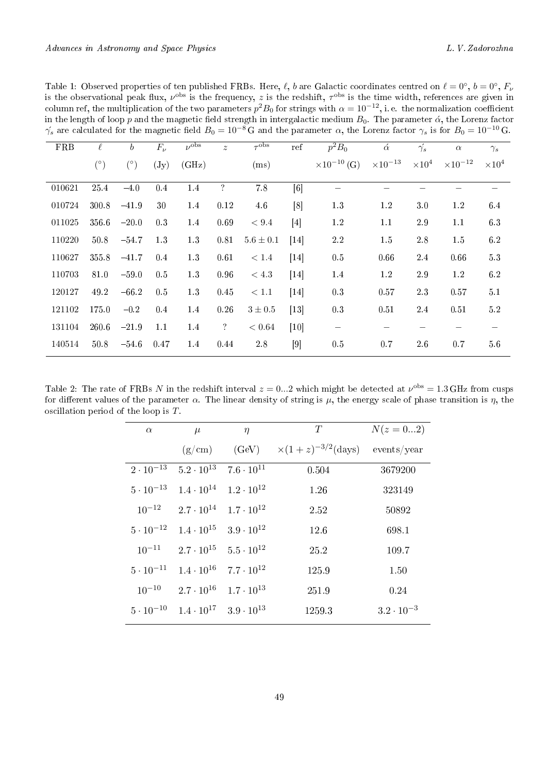|            |            |                  |                 |                      |               |                  |                   | $\gamma_s$ are calculated for the magnetic field $B_0 = 10^{-8}$ G and the parameter $\alpha$ , the Lorenz factor $\gamma_s$ is for $B_0 = 10^{-10}$ G |                   |               |                   |               |
|------------|------------|------------------|-----------------|----------------------|---------------|------------------|-------------------|--------------------------------------------------------------------------------------------------------------------------------------------------------|-------------------|---------------|-------------------|---------------|
| <b>FRB</b> | $\ell$     | $\boldsymbol{b}$ | $F_{\nu}$       | $\nu$ <sup>obs</sup> | $\tilde{z}$   | $\tau^{\rm obs}$ | ref               | $p^2B_0$                                                                                                                                               | $\acute{\alpha}$  | $\gamma_s$    | $\alpha$          | $\gamma_s$    |
|            | $(^\circ)$ | $(^\circ)$       | $(\mathrm{Jy})$ | (GHz)                |               | (ms)             |                   | $\times 10^{-10}$ (G)                                                                                                                                  | $\times 10^{-13}$ | $\times 10^4$ | $\times 10^{-12}$ | $\times 10^4$ |
| 010621     | 25.4       | $-4.0$           | 0.4             | 1.4                  | $\ddot{?}$    | $7.8\,$          | $\lceil 6 \rceil$ |                                                                                                                                                        |                   |               |                   |               |
| 010724     | 300.8      | $-41.9$          | 30              | 1.4                  | 0.12          | 4.6              | [8]               | 1.3                                                                                                                                                    | 1.2               | $3.0\,$       | 1.2               | 6.4           |
| 011025     | 356.6      | $-20.0$          | 0.3             | 1.4                  | 0.69          | < 9.4            | [4]               | 1.2                                                                                                                                                    | 1.1               | $2.9\,$       | 1.1               | 6.3           |
| 110220     | 50.8       | $-54.7$          | 1.3             | $1.3\,$              | 0.81          | $5.6 \pm 0.1$    | $[14]$            | 2.2                                                                                                                                                    | 1.5               | $2.8\,$       | 1.5               | 6.2           |
| 110627     | 355.8      | $-41.7$          | $0.4\,$         | 1.3                  | 0.61          | < 1.4            | $[14]$            | 0.5                                                                                                                                                    | 0.66              | 2.4           | 0.66              | 5.3           |
| 110703     | 81.0       | $-59.0$          | 0.5             | 1.3                  | 0.96          | < 4.3            | [14]              | 1.4                                                                                                                                                    | 1.2               | $2.9\,$       | 1.2               | 6.2           |
| 120127     | 49.2       | $-66.2$          | 0.5             | 1.3                  | 0.45          | < 1.1            | $\left[14\right]$ | 0.3                                                                                                                                                    | 0.57              | 2.3           | 0.57              | 5.1           |
| 121102     | 175.0      | $-0.2$           | 0.4             | 1.4                  | 0.26          | $3 \pm 0.5$      | $[13]$            | 0.3                                                                                                                                                    | 0.51              | 2.4           | 0.51              | 5.2           |
| 131104     | 260.6      | $-21.9$          | 1.1             | 1.4                  | $\mathcal{C}$ | < 0.64           | $[10]$            |                                                                                                                                                        |                   |               |                   |               |
| 140514     | 50.8       | $-54.6$          | 0.47            | 1.4                  | 0.44          | $2.8\,$          | $[9]$             | 0.5                                                                                                                                                    | 0.7               | 2.6           | 0.7               | 5.6           |
|            |            |                  |                 |                      |               |                  |                   |                                                                                                                                                        |                   |               |                   |               |

Table 1: Observed properties of ten published FRBs. Here,  $\ell$ , *b* are Galactic coordinates centred on  $\ell = 0^\circ$ ,  $b = 0^\circ$ ,  $F_\nu$ is the observational peak flux,  $\nu^{\text{obs}}$  is the frequency, *z* is the redshift,  $\tau^{\text{obs}}$  is the time width, references are given in column ref, the multiplication of the two parameters  $p^2B_0$  for strings with  $\alpha = 10^{-12}$ , i. e. the normalization coefficient in the length of loop  $p$  and the magnetic field strength in intergalactic medium  $B_0$ . The parameter  $\acute\alpha,$  the Lorenz factor  $γ_s$  are calculated for the magnetic field  $B_0 = 10^{-8} \text{ G}$  and the parameter  $α$ , the Lorenz factor  $γ_s$  is for  $B_0 = 10^{-10} \text{ G}$ .

Table 2: The rate of FRBs *N* in the redshift interval  $z = 0...2$  which might be detected at  $\nu^{\text{obs}} = 1.3 \text{ GHz}$  from cusps for different values of the parameter  $\alpha$ . The linear density of string is  $\mu$ , the energy scale of phase transition is  $\eta$ , the oscillation period of the loop is *T*.

| $\alpha$           | $\mu$                                                      | $\eta$              | T                                           | $N(z=02)$           |
|--------------------|------------------------------------------------------------|---------------------|---------------------------------------------|---------------------|
|                    |                                                            |                     | $(g/cm)$ $(GeV) \times (1+z)^{-3/2}$ (days) | events/year         |
| $2 \cdot 10^{-13}$ | $5.2 \cdot 10^{13}$ $7.6 \cdot 10^{11}$                    |                     | 0.504                                       | 3679200             |
|                    | $5 \cdot 10^{-13}$ $1.4 \cdot 10^{14}$ $1.2 \cdot 10^{12}$ |                     | 1.26                                        | 323149              |
|                    | $10^{-12}$ $2.7 \cdot 10^{14}$                             | $1.7 \cdot 10^{12}$ | 2.52                                        | 50892               |
| $5 \cdot 10^{-12}$ | $1.4 \cdot 10^{15}$ $3.9 \cdot 10^{12}$                    |                     | 12.6                                        | 698.1               |
| $10^{-11}$         | $2.7\cdot10^{15}$ $5.5\cdot10^{12}$                        |                     | 25.2                                        | 109.7               |
| $5 \cdot 10^{-11}$ | $1.4 \cdot 10^{16}$                                        | $7.7\cdot10^{12}$   | 125.9                                       | 1.50                |
| $10^{-10}$         | $2.7 \cdot 10^{16}$ $1.7 \cdot 10^{13}$                    |                     | 251.9                                       | 0.24                |
|                    | $5 \cdot 10^{-10}$ $1.4 \cdot 10^{17}$ $3.9 \cdot 10^{13}$ |                     | 1259.3                                      | $3.2 \cdot 10^{-3}$ |